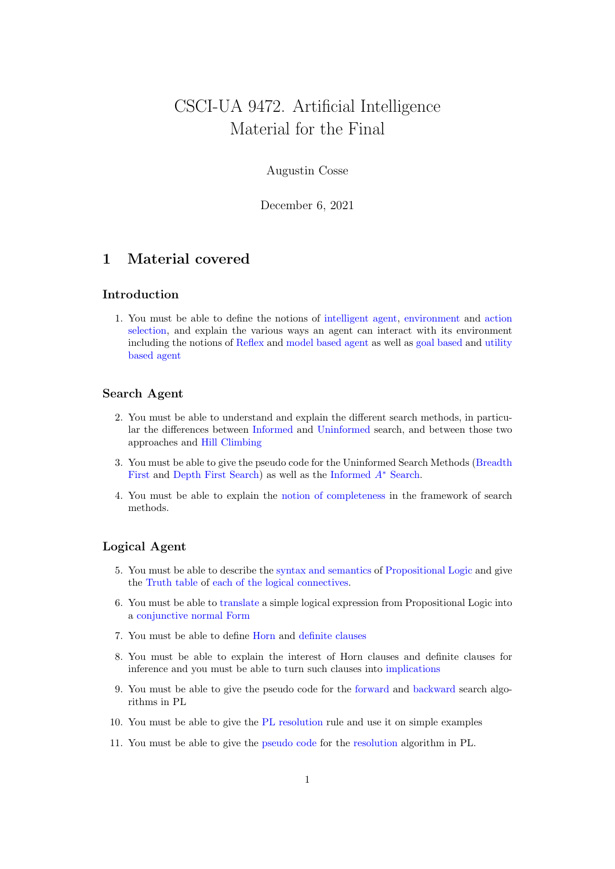# CSCI-UA 9472. Artificial Intelligence Material for the Final

# Augustin Cosse

December 6, 2021

# 1 Material covered

# Introduction

1. You must be able to define the notions of intelligent agent, environment and action selection, and explain the various ways an agent can interact with its environment including the notions of Reflex and model based agent as well as goal based and utility based agent

## Search Agent

- 2. You must be able to understand and explain the different search methods, in particular the differences between Informed and Uninformed search, and between those two approaches and Hill Climbing
- 3. You must be able to give the pseudo code for the Uninformed Search Methods (Breadth First and Depth First Search) as well as the Informed A<sup>∗</sup> Search.
- 4. You must be able to explain the notion of completeness in the framework of search methods.

#### Logical Agent

- 5. You must be able to describe the syntax and semantics of Propositional Logic and give the Truth table of each of the logical connectives.
- 6. You must be able to translate a simple logical expression from Propositional Logic into a conjunctive normal Form
- 7. You must be able to define Horn and definite clauses
- 8. You must be able to explain the interest of Horn clauses and definite clauses for inference and you must be able to turn such clauses into implications
- 9. You must be able to give the pseudo code for the forward and backward search algorithms in PL
- 10. You must be able to give the PL resolution rule and use it on simple examples
- 11. You must be able to give the pseudo code for the resolution algorithm in PL.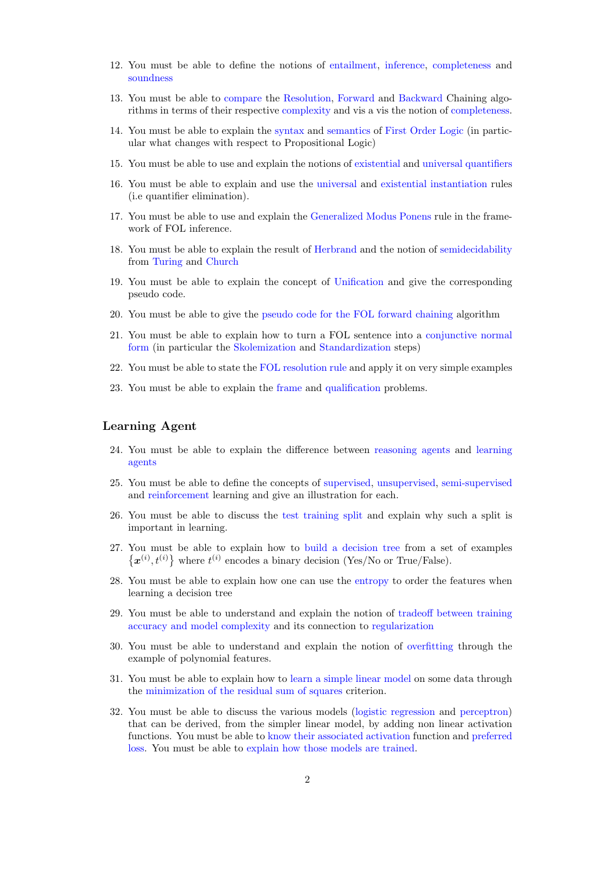- 12. You must be able to define the notions of entailment, inference, completeness and soundness
- 13. You must be able to compare the Resolution, Forward and Backward Chaining algorithms in terms of their respective complexity and vis a vis the notion of completeness.
- 14. You must be able to explain the syntax and semantics of First Order Logic (in particular what changes with respect to Propositional Logic)
- 15. You must be able to use and explain the notions of existential and universal quantifiers
- 16. You must be able to explain and use the universal and existential instantiation rules (i.e quantifier elimination).
- 17. You must be able to use and explain the Generalized Modus Ponens rule in the framework of FOL inference.
- 18. You must be able to explain the result of Herbrand and the notion of semidecidability from Turing and Church
- 19. You must be able to explain the concept of Unification and give the corresponding pseudo code.
- 20. You must be able to give the pseudo code for the FOL forward chaining algorithm
- 21. You must be able to explain how to turn a FOL sentence into a conjunctive normal form (in particular the Skolemization and Standardization steps)
- 22. You must be able to state the FOL resolution rule and apply it on very simple examples
- 23. You must be able to explain the frame and qualification problems.

## Learning Agent

- 24. You must be able to explain the difference between reasoning agents and learning agents
- 25. You must be able to define the concepts of supervised, unsupervised, semi-supervised and reinforcement learning and give an illustration for each.
- 26. You must be able to discuss the test training split and explain why such a split is important in learning.
- 27. You must be able to explain how to build a decision tree from a set of examples  $\{\boldsymbol{x}^{(i)}, t^{(i)}\}$  where  $t^{(i)}$  encodes a binary decision (Yes/No or True/False).
- 28. You must be able to explain how one can use the entropy to order the features when learning a decision tree
- 29. You must be able to understand and explain the notion of tradeoff between training accuracy and model complexity and its connection to regularization
- 30. You must be able to understand and explain the notion of overfitting through the example of polynomial features.
- 31. You must be able to explain how to learn a simple linear model on some data through the minimization of the residual sum of squares criterion.
- 32. You must be able to discuss the various models (logistic regression and perceptron) that can be derived, from the simpler linear model, by adding non linear activation functions. You must be able to know their associated activation function and preferred loss. You must be able to explain how those models are trained.